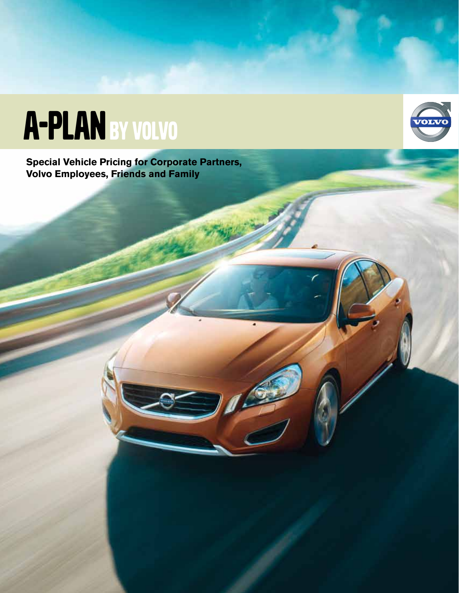# A-PLAN BY VOLVO

**Special Vehicle Pricing for Corporate Partners, Volvo Employees, Friends and Family**

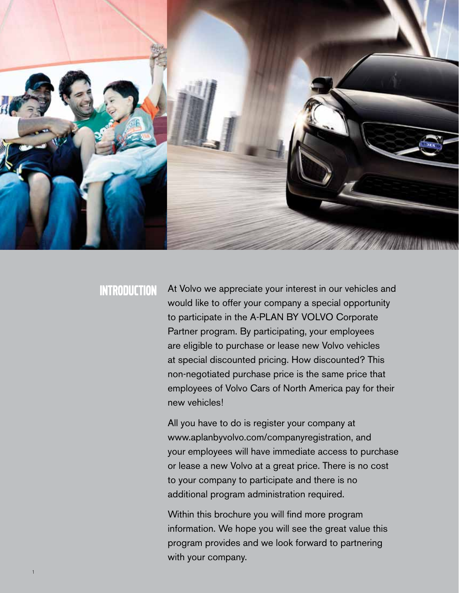

1

INTRODUCTION At Volvo we appreciate your interest in our vehicles and would like to offer your company a special opportunity to participate in the A-PLAN BY VOLVO Corporate Partner program. By participating, your employees are eligible to purchase or lease new Volvo vehicles at special discounted pricing. How discounted? This non-negotiated purchase price is the same price that employees of Volvo Cars of North America pay for their new vehicles!

> All you have to do is register your company at www.aplanbyvolvo.com/companyregistration, and your employees will have immediate access to purchase or lease a new Volvo at a great price. There is no cost to your company to participate and there is no additional program administration required.

Within this brochure you will find more program information. We hope you will see the great value this program provides and we look forward to partnering with your company.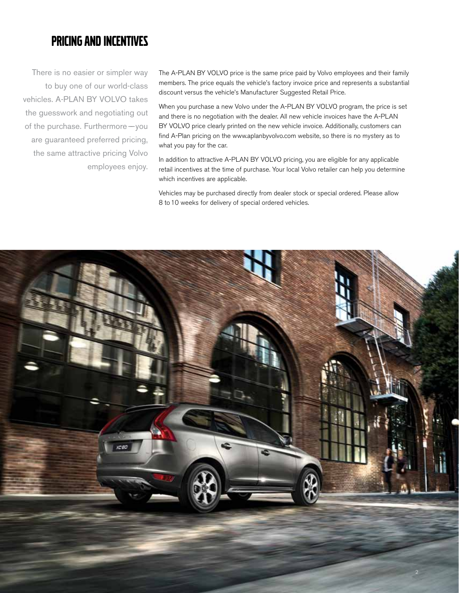## Pricing and Incentives

There is no easier or simpler way to buy one of our world-class vehicles. A-PLAN BY VOLVO takes the guesswork and negotiating out of the purchase. Furthermore-you are guaranteed preferred pricing, the same attractive pricing Volvo employees enjoy. The A-PLAN BY VOLVO price is the same price paid by Volvo employees and their family members. The price equals the vehicle's factory invoice price and represents a substantial discount versus the vehicle's Manufacturer Suggested Retail Price.

When you purchase a new Volvo under the A-PLAN BY VOLVO program, the price is set and there is no negotiation with the dealer. All new vehicle invoices have the A-PLAN BY VOLVO price clearly printed on the new vehicle invoice. Additionally, customers can find A-Plan pricing on the www.aplanbyvolvo.com website, so there is no mystery as to what you pay for the car.

In addition to attractive A-PLAN BY VOLVO pricing, you are eligible for any applicable retail incentives at the time of purchase. Your local Volvo retailer can help you determine which incentives are applicable.

Vehicles may be purchased directly from dealer stock or special ordered. Please allow 8 to 10 weeks for delivery of special ordered vehicles.

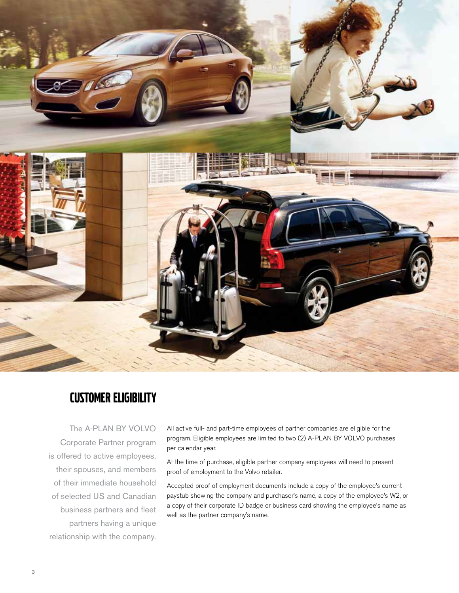

## Customer Eligibility

The A-PLAN BY VOLVO Corporate Partner program is offered to active employees, their spouses, and members of their immediate household of selected US and Canadian business partners and fleet partners having a unique relationship with the company.

All active full- and part-time employees of partner companies are eligible for the program. Eligible employees are limited to two (2) A-PLAN BY VOLVO purchases per calendar year.

At the time of purchase, eligible partner company employees will need to present proof of employment to the Volvo retailer.

Accepted proof of employment documents include a copy of the employee's current paystub showing the company and purchaser's name, a copy of the employee's W2, or a copy of their corporate ID badge or business card showing the employee's name as well as the partner company's name.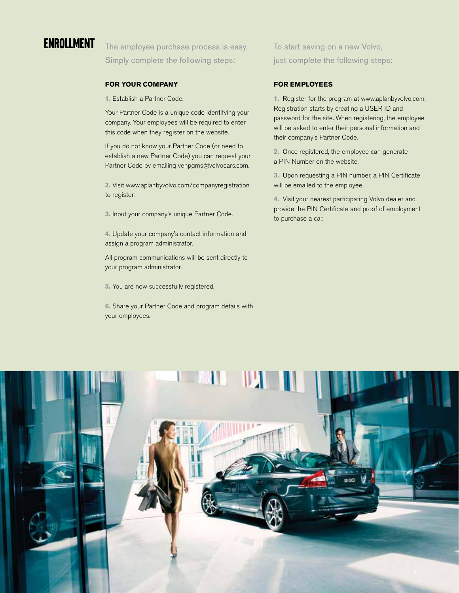

**ENROLLMENT** The employee purchase process is easy. Simply complete the following steps:

### **FOR your COMPANY**

**1.** Establish a Partner Code.

Your Partner Code is a unique code identifying your company. Your employees will be required to enter this code when they register on the website.

If you do not know your Partner Code (or need to establish a new Partner Code) you can request your Partner Code by emailing vehpgms@volvocars.com.

**2.** Visit www.aplanbyvolvo.com/companyregistration to register.

**3.** Input your company's unique Partner Code.

**4.** Update your company's contact information and assign a program administrator.

All program communications will be sent directly to your program administrator.

**5.** You are now successfully registered.

**6.** Share your Partner Code and program details with your employees.

To start saving on a new Volvo, just complete the following steps:

#### **FOR Employees**

**1.** Register for the program at www.aplanbyvolvo.com. Registration starts by creating a USER ID and password for the site. When registering, the employee will be asked to enter their personal information and their company's Partner Code.

**2.** Once registered, the employee can generate a PIN Number on the website.

**3.** Upon requesting a PIN number, a PIN Certificate will be emailed to the employee.

**4.** Visit your nearest participating Volvo dealer and provide the PIN Certificate and proof of employment to purchase a car.

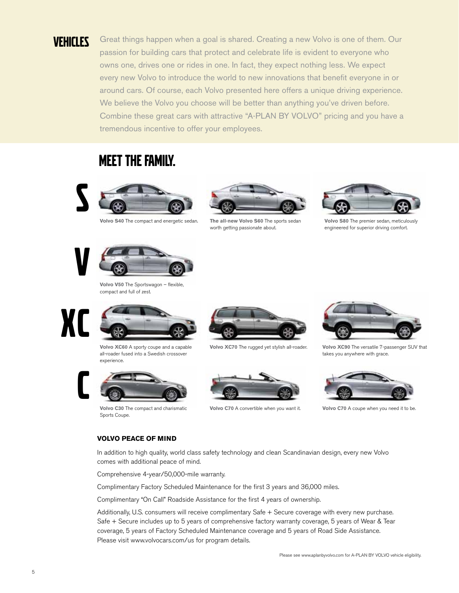VEHICLES Great things happen when a goal is shared. Creating a new Volvo is one of them. Our passion for building cars that protect and celebrate life is evident to everyone who owns one, drives one or rides in one. In fact, they expect nothing less. We expect every new Volvo to introduce the world to new innovations that benefit everyone in or around cars. Of course, each Volvo presented here offers a unique driving experience. We believe the Volvo you choose will be better than anything you've driven before. Combine these great cars with attractive "A-PLAN BY VOLVO" pricing and you have a tremendous incentive to offer your employees.

## MEET THE FAMILY.



**Volvo S40** The compact and energetic sedan.



**The all-new Volvo S60** The sports sedan worth getting passionate about.



**Volvo S80** The premier sedan, meticulously engineered for superior driving comfort.



**Volvo V50** The Sportswagon – flexible, compact and full of zest.



**Volvo XC60** A sporty coupe and a capable all-roader fused into a Swedish crossover experience.



**Volvo C30** The compact and charismatic Sports Coupe.



**Volvo XC70** The rugged yet stylish all-roader.



**Volvo C70** A convertible when you want it.



**Volvo XC90** The versatile 7-passenger SUV that takes you anywhere with grace.



**Volvo C70** A coupe when you need it to be.

### **Volvo Peace of Mind**

In addition to high quality, world class safety technology and clean Scandinavian design, every new Volvo comes with additional peace of mind.

Comprehensive 4-year/50,000-mile warranty.

Complimentary Factory Scheduled Maintenance for the first 3 years and 36,000 miles.

Complimentary "On Call" Roadside Assistance for the first 4 years of ownership.

Additionally, U.S. consumers will receive complimentary Safe + Secure coverage with every new purchase. Safe + Secure includes up to 5 years of comprehensive factory warranty coverage, 5 years of Wear & Tear coverage, 5 years of Factory Scheduled Maintenance coverage and 5 years of Road Side Assistance. Please visit www.volvocars.com/us for program details.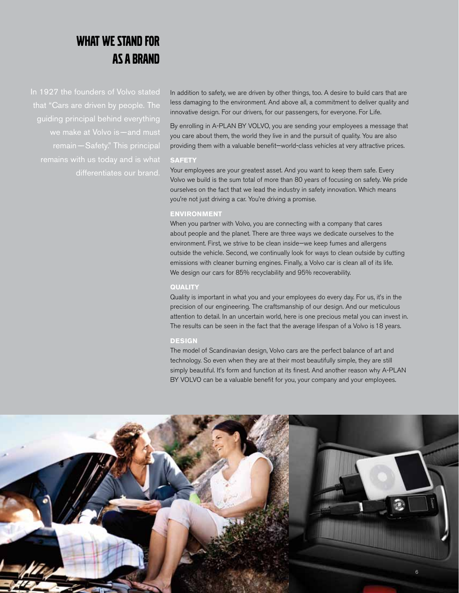## What We Stand For as a Brand

In 1927 the founders of Volvo stated that "Cars are driven by people. The we make at Volvo is - and must differentiates our brand.

In addition to safety, we are driven by other things, too. A desire to build cars that are less damaging to the environment. And above all, a commitment to deliver quality and innovative design. For our drivers, for our passengers, for everyone. For Life.

By enrolling in A-PLAN BY VOLVO, you are sending your employees a message that you care about them, the world they live in and the pursuit of quality. You are also providing them with a valuable benefit—world-class vehicles at very attractive prices.

#### **SAFETY**

Your employees are your greatest asset. And you want to keep them safe. Every Volvo we build is the sum total of more than 80 years of focusing on safety. We pride ourselves on the fact that we lead the industry in safety innovation. Which means you're not just driving a car. You're driving a promise.

### **ENVIRONMENT**

When you partner with Volvo, you are connecting with a company that cares about people and the planet. There are three ways we dedicate ourselves to the environment. First, we strive to be clean inside—we keep fumes and allergens outside the vehicle. Second, we continually look for ways to clean outside by cutting emissions with cleaner burning engines. Finally, a Volvo car is clean all of its life. We design our cars for 85% recyclability and 95% recoverability.

#### **QUALITY**

Quality is important in what you and your employees do every day. For us, it's in the precision of our engineering. The craftsmanship of our design. And our meticulous attention to detail. In an uncertain world, here is one precious metal you can invest in. The results can be seen in the fact that the average lifespan of a Volvo is 18 years.

#### **DESIGN**

The model of Scandinavian design, Volvo cars are the perfect balance of art and technology. So even when they are at their most beautifully simple, they are still simply beautiful. It's form and function at its finest. And another reason why A-PLAN BY VOLVO can be a valuable benefit for you, your company and your employees.